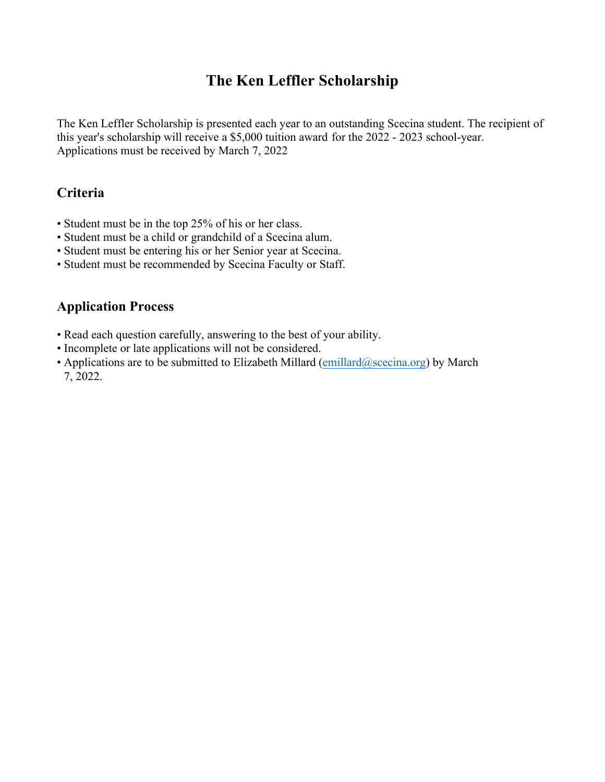## **The Ken Leffler Scholarship**

The Ken Leffler Scholarship is presented each year to an outstanding Scecina student. The recipient of this year's scholarship will receive a \$5,000 tuition award for the 2022 - 2023 school-year. Applications must be received by March 7, 2022

## **Criteria**

- Student must be in the top 25% of his or her class.
- Student must be a child or grandchild of a Scecina alum.
- Student must be entering his or her Senior year at Scecina.
- Student must be recommended by Scecina Faculty or Staff.

## **Application Process**

- Read each question carefully, answering to the best of your ability.
- Incomplete or late applications will not be considered.
- Applications are to be submitted to Elizabeth Millard  $(emillard@scecina.org)$  $(emillard@scecina.org)$  by March 7, 2022.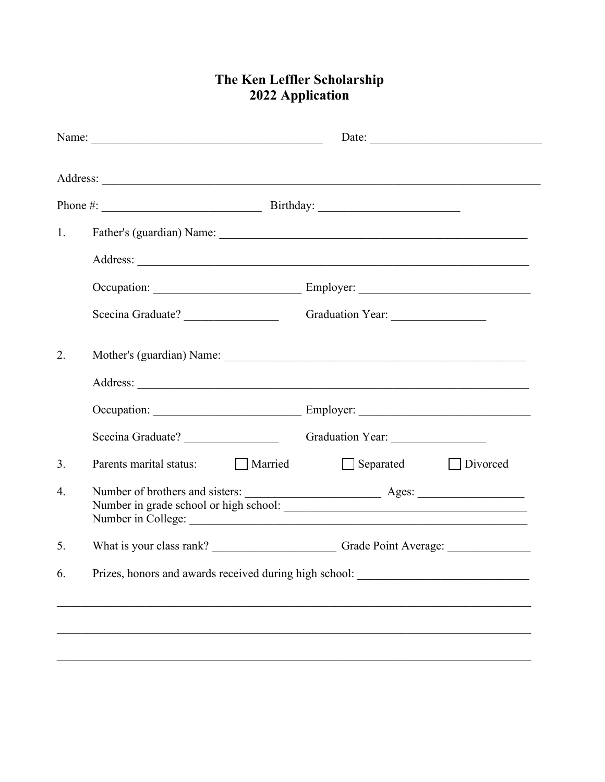## The Ken Leffler Scholarship<br>2022 Application

| Phone #: $\qquad \qquad$ Birthday:                                                |                              |
|-----------------------------------------------------------------------------------|------------------------------|
|                                                                                   |                              |
|                                                                                   |                              |
|                                                                                   |                              |
|                                                                                   |                              |
|                                                                                   |                              |
|                                                                                   | Graduation Year:             |
|                                                                                   |                              |
|                                                                                   |                              |
|                                                                                   |                              |
| Scecina Graduate? _____________________________Graduation Year: _________________ |                              |
| Married<br>Parents marital status:                                                | Divorced<br>$\Box$ Separated |
|                                                                                   |                              |
|                                                                                   |                              |
| Prizes, honors and awards received during high school:                            |                              |
|                                                                                   |                              |